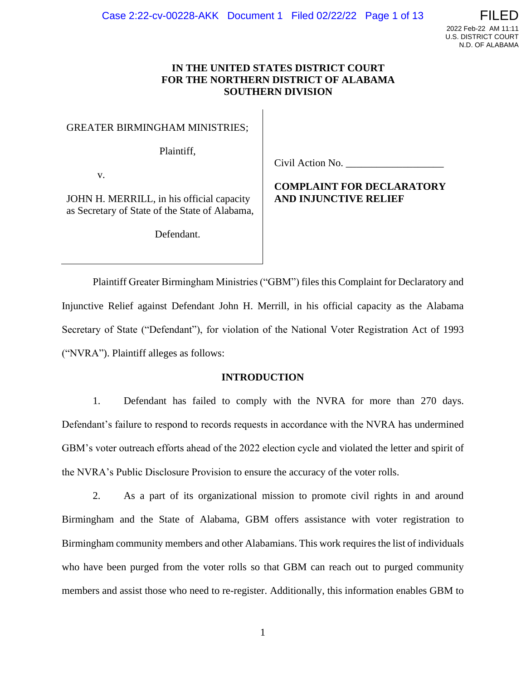## **IN THE UNITED STATES DISTRICT COURT FOR THE NORTHERN DISTRICT OF ALABAMA SOUTHERN DIVISION**

## GREATER BIRMINGHAM MINISTRIES;

Plaintiff,

Civil Action No.

v.

JOHN H. MERRILL, in his official capacity as Secretary of State of the State of Alabama,

Defendant.

# **COMPLAINT FOR DECLARATORY AND INJUNCTIVE RELIEF**

Plaintiff Greater Birmingham Ministries ("GBM") files this Complaint for Declaratory and Injunctive Relief against Defendant John H. Merrill, in his official capacity as the Alabama Secretary of State ("Defendant"), for violation of the National Voter Registration Act of 1993 ("NVRA"). Plaintiff alleges as follows:

### **INTRODUCTION**

1. Defendant has failed to comply with the NVRA for more than 270 days. Defendant's failure to respond to records requests in accordance with the NVRA has undermined GBM's voter outreach efforts ahead of the 2022 election cycle and violated the letter and spirit of the NVRA's Public Disclosure Provision to ensure the accuracy of the voter rolls.

2. As a part of its organizational mission to promote civil rights in and around Birmingham and the State of Alabama, GBM offers assistance with voter registration to Birmingham community members and other Alabamians. This work requires the list of individuals who have been purged from the voter rolls so that GBM can reach out to purged community members and assist those who need to re-register. Additionally, this information enables GBM to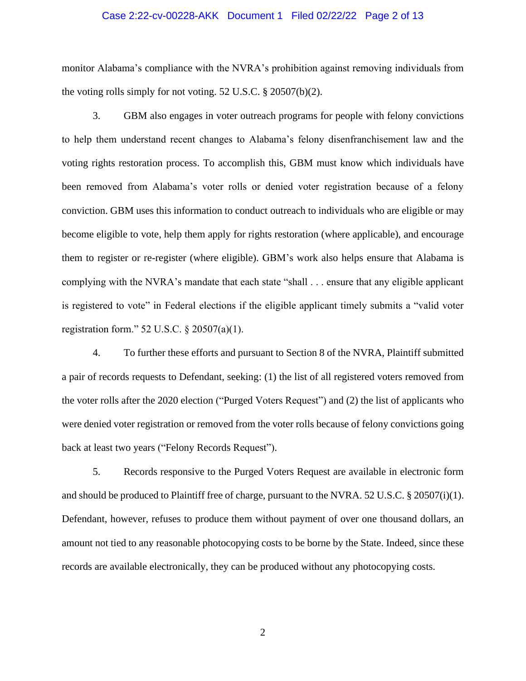#### Case 2:22-cv-00228-AKK Document 1 Filed 02/22/22 Page 2 of 13

monitor Alabama's compliance with the NVRA's prohibition against removing individuals from the voting rolls simply for not voting. 52 U.S.C. § 20507(b)(2).

3. GBM also engages in voter outreach programs for people with felony convictions to help them understand recent changes to Alabama's felony disenfranchisement law and the voting rights restoration process. To accomplish this, GBM must know which individuals have been removed from Alabama's voter rolls or denied voter registration because of a felony conviction. GBM uses this information to conduct outreach to individuals who are eligible or may become eligible to vote, help them apply for rights restoration (where applicable), and encourage them to register or re-register (where eligible). GBM's work also helps ensure that Alabama is complying with the NVRA's mandate that each state "shall . . . ensure that any eligible applicant is registered to vote" in Federal elections if the eligible applicant timely submits a "valid voter registration form." 52 U.S.C. § 20507(a)(1).

4. To further these efforts and pursuant to Section 8 of the NVRA, Plaintiff submitted a pair of records requests to Defendant, seeking: (1) the list of all registered voters removed from the voter rolls after the 2020 election ("Purged Voters Request") and (2) the list of applicants who were denied voter registration or removed from the voter rolls because of felony convictions going back at least two years ("Felony Records Request").

5. Records responsive to the Purged Voters Request are available in electronic form and should be produced to Plaintiff free of charge, pursuant to the NVRA. 52 U.S.C. § 20507(i)(1). Defendant, however, refuses to produce them without payment of over one thousand dollars, an amount not tied to any reasonable photocopying costs to be borne by the State. Indeed, since these records are available electronically, they can be produced without any photocopying costs.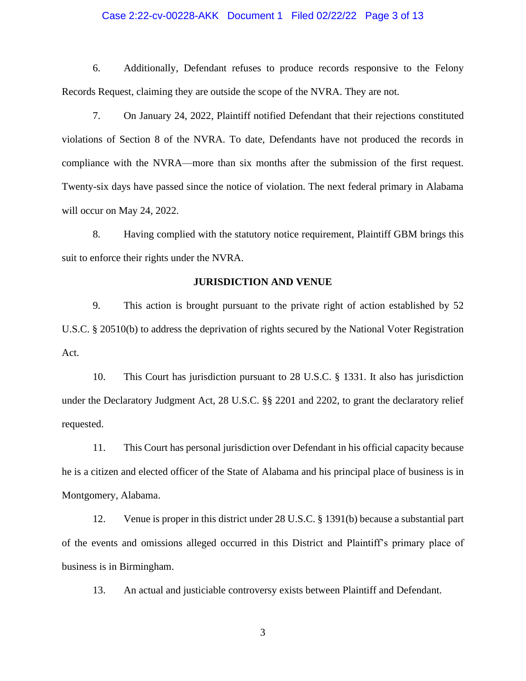### Case 2:22-cv-00228-AKK Document 1 Filed 02/22/22 Page 3 of 13

6. Additionally, Defendant refuses to produce records responsive to the Felony Records Request, claiming they are outside the scope of the NVRA. They are not.

7. On January 24, 2022, Plaintiff notified Defendant that their rejections constituted violations of Section 8 of the NVRA. To date, Defendants have not produced the records in compliance with the NVRA—more than six months after the submission of the first request. Twenty-six days have passed since the notice of violation. The next federal primary in Alabama will occur on May 24, 2022.

8. Having complied with the statutory notice requirement, Plaintiff GBM brings this suit to enforce their rights under the NVRA.

#### **JURISDICTION AND VENUE**

9. This action is brought pursuant to the private right of action established by 52 U.S.C. § 20510(b) to address the deprivation of rights secured by the National Voter Registration Act.

10. This Court has jurisdiction pursuant to 28 U.S.C. § 1331. It also has jurisdiction under the Declaratory Judgment Act, 28 U.S.C. §§ 2201 and 2202, to grant the declaratory relief requested.

11. This Court has personal jurisdiction over Defendant in his official capacity because he is a citizen and elected officer of the State of Alabama and his principal place of business is in Montgomery, Alabama.

12. Venue is proper in this district under 28 U.S.C. § 1391(b) because a substantial part of the events and omissions alleged occurred in this District and Plaintiff's primary place of business is in Birmingham.

13. An actual and justiciable controversy exists between Plaintiff and Defendant.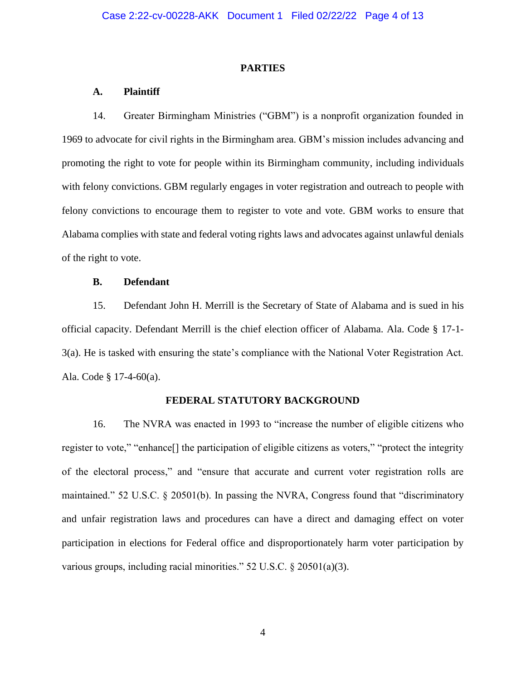#### **PARTIES**

### **A. Plaintiff**

14. Greater Birmingham Ministries ("GBM") is a nonprofit organization founded in 1969 to advocate for civil rights in the Birmingham area. GBM's mission includes advancing and promoting the right to vote for people within its Birmingham community, including individuals with felony convictions. GBM regularly engages in voter registration and outreach to people with felony convictions to encourage them to register to vote and vote. GBM works to ensure that Alabama complies with state and federal voting rights laws and advocates against unlawful denials of the right to vote.

#### **B. Defendant**

15. Defendant John H. Merrill is the Secretary of State of Alabama and is sued in his official capacity. Defendant Merrill is the chief election officer of Alabama. Ala. Code § 17-1- 3(a). He is tasked with ensuring the state's compliance with the National Voter Registration Act. Ala. Code § 17-4-60(a).

#### **FEDERAL STATUTORY BACKGROUND**

16. The NVRA was enacted in 1993 to "increase the number of eligible citizens who register to vote," "enhance[] the participation of eligible citizens as voters," "protect the integrity of the electoral process," and "ensure that accurate and current voter registration rolls are maintained." 52 U.S.C. § 20501(b). In passing the NVRA, Congress found that "discriminatory and unfair registration laws and procedures can have a direct and damaging effect on voter participation in elections for Federal office and disproportionately harm voter participation by various groups, including racial minorities." 52 U.S.C. § 20501(a)(3).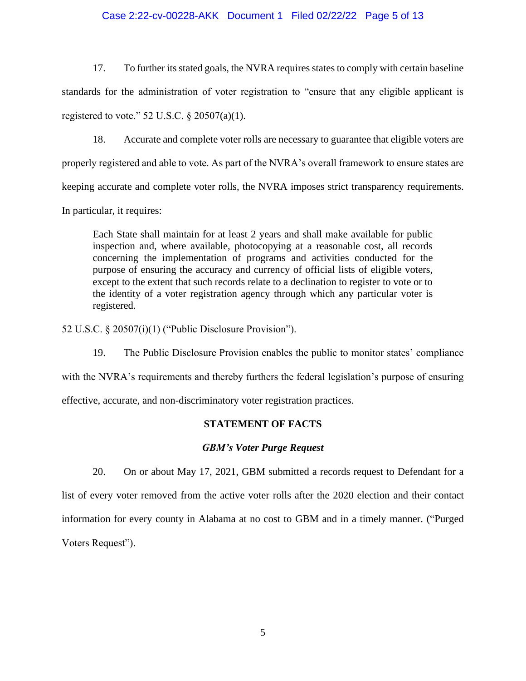### Case 2:22-cv-00228-AKK Document 1 Filed 02/22/22 Page 5 of 13

17. To further its stated goals, the NVRA requires states to comply with certain baseline standards for the administration of voter registration to "ensure that any eligible applicant is registered to vote." 52 U.S.C.  $\S 20507(a)(1)$ .

18. Accurate and complete voter rolls are necessary to guarantee that eligible voters are properly registered and able to vote. As part of the NVRA's overall framework to ensure states are keeping accurate and complete voter rolls, the NVRA imposes strict transparency requirements. In particular, it requires:

Each State shall maintain for at least 2 years and shall make available for public inspection and, where available, photocopying at a reasonable cost, all records concerning the implementation of programs and activities conducted for the purpose of ensuring the accuracy and currency of official lists of eligible voters, except to the extent that such records relate to a declination to register to vote or to the identity of a voter registration agency through which any particular voter is registered.

52 U.S.C. § 20507(i)(1) ("Public Disclosure Provision").

19. The Public Disclosure Provision enables the public to monitor states' compliance

with the NVRA's requirements and thereby furthers the federal legislation's purpose of ensuring

effective, accurate, and non-discriminatory voter registration practices.

## **STATEMENT OF FACTS**

### *GBM's Voter Purge Request*

20. On or about May 17, 2021, GBM submitted a records request to Defendant for a list of every voter removed from the active voter rolls after the 2020 election and their contact information for every county in Alabama at no cost to GBM and in a timely manner. ("Purged Voters Request").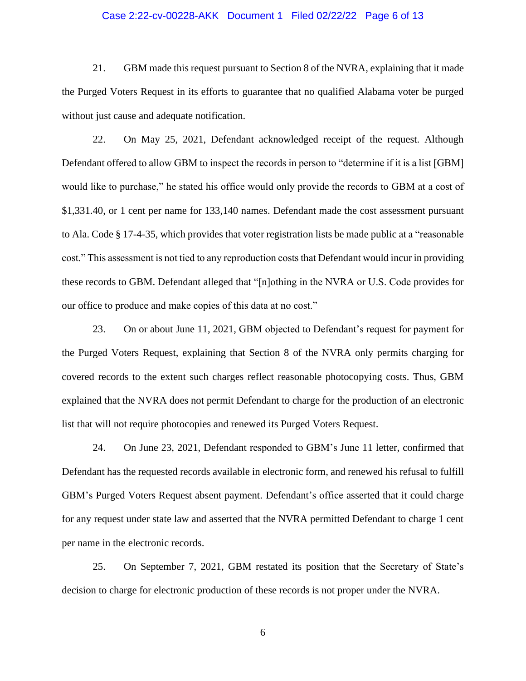#### Case 2:22-cv-00228-AKK Document 1 Filed 02/22/22 Page 6 of 13

21. GBM made this request pursuant to Section 8 of the NVRA, explaining that it made the Purged Voters Request in its efforts to guarantee that no qualified Alabama voter be purged without just cause and adequate notification.

22. On May 25, 2021, Defendant acknowledged receipt of the request. Although Defendant offered to allow GBM to inspect the records in person to "determine if it is a list [GBM] would like to purchase," he stated his office would only provide the records to GBM at a cost of \$1,331.40, or 1 cent per name for 133,140 names. Defendant made the cost assessment pursuant to Ala. Code § 17-4-35, which provides that voter registration lists be made public at a "reasonable cost." This assessment is not tied to any reproduction costs that Defendant would incur in providing these records to GBM. Defendant alleged that "[n]othing in the NVRA or U.S. Code provides for our office to produce and make copies of this data at no cost."

23. On or about June 11, 2021, GBM objected to Defendant's request for payment for the Purged Voters Request, explaining that Section 8 of the NVRA only permits charging for covered records to the extent such charges reflect reasonable photocopying costs. Thus, GBM explained that the NVRA does not permit Defendant to charge for the production of an electronic list that will not require photocopies and renewed its Purged Voters Request.

24. On June 23, 2021, Defendant responded to GBM's June 11 letter, confirmed that Defendant has the requested records available in electronic form, and renewed his refusal to fulfill GBM's Purged Voters Request absent payment. Defendant's office asserted that it could charge for any request under state law and asserted that the NVRA permitted Defendant to charge 1 cent per name in the electronic records.

25. On September 7, 2021, GBM restated its position that the Secretary of State's decision to charge for electronic production of these records is not proper under the NVRA.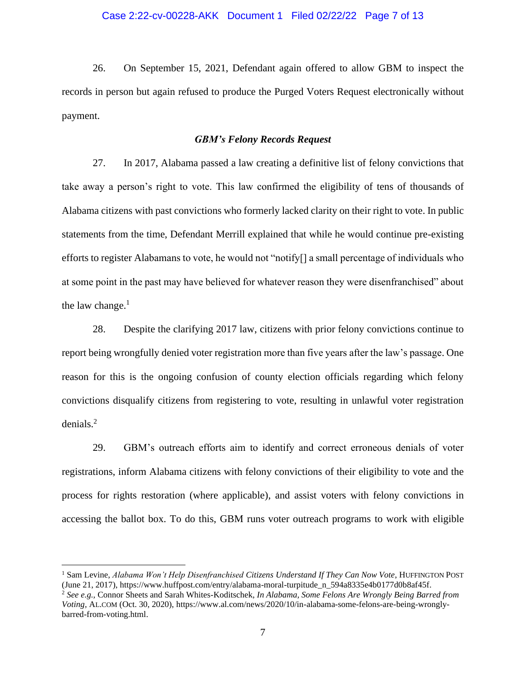26. On September 15, 2021, Defendant again offered to allow GBM to inspect the records in person but again refused to produce the Purged Voters Request electronically without payment.

### *GBM's Felony Records Request*

27. In 2017, Alabama passed a law creating a definitive list of felony convictions that take away a person's right to vote. This law confirmed the eligibility of tens of thousands of Alabama citizens with past convictions who formerly lacked clarity on their right to vote. In public statements from the time, Defendant Merrill explained that while he would continue pre-existing efforts to register Alabamans to vote, he would not "notify[] a small percentage of individuals who at some point in the past may have believed for whatever reason they were disenfranchised" about the law change. $<sup>1</sup>$ </sup>

28. Despite the clarifying 2017 law, citizens with prior felony convictions continue to report being wrongfully denied voter registration more than five years after the law's passage. One reason for this is the ongoing confusion of county election officials regarding which felony convictions disqualify citizens from registering to vote, resulting in unlawful voter registration denials. $2$ 

29. GBM's outreach efforts aim to identify and correct erroneous denials of voter registrations, inform Alabama citizens with felony convictions of their eligibility to vote and the process for rights restoration (where applicable), and assist voters with felony convictions in accessing the ballot box. To do this, GBM runs voter outreach programs to work with eligible

<sup>1</sup> Sam Levine, *Alabama Won't Help Disenfranchised Citizens Understand If They Can Now Vote*, HUFFINGTON POST (June 21, 2017), https://www.huffpost.com/entry/alabama-moral-turpitude\_n\_594a8335e4b0177d0b8af45f.

<sup>2</sup> *See e.g.,* Connor Sheets and Sarah Whites-Koditschek, *In Alabama, Some Felons Are Wrongly Being Barred from Voting,* AL.COM (Oct. 30, 2020), [https://www.al.com/news/2020/10/in-alabama-some-felons-are-being-wrongly](https://www.al.com/news/2020/10/in-alabama-some-felons-are-being-wrongly-barred-from-voting.html)[barred-from-voting.html.](https://www.al.com/news/2020/10/in-alabama-some-felons-are-being-wrongly-barred-from-voting.html)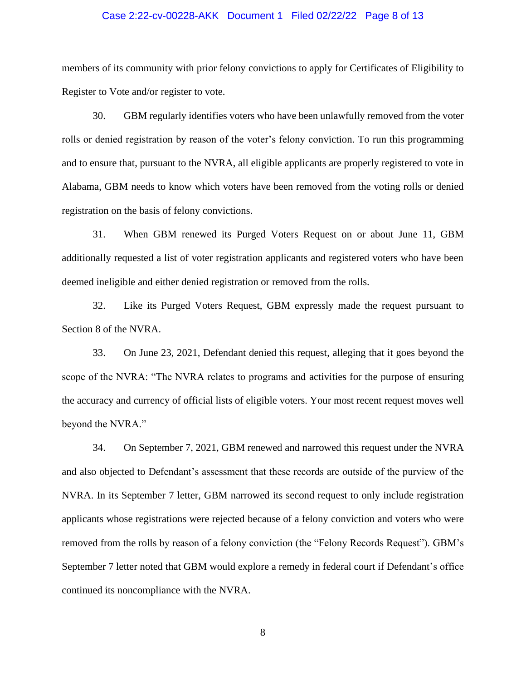#### Case 2:22-cv-00228-AKK Document 1 Filed 02/22/22 Page 8 of 13

members of its community with prior felony convictions to apply for Certificates of Eligibility to Register to Vote and/or register to vote.

30. GBM regularly identifies voters who have been unlawfully removed from the voter rolls or denied registration by reason of the voter's felony conviction. To run this programming and to ensure that, pursuant to the NVRA, all eligible applicants are properly registered to vote in Alabama, GBM needs to know which voters have been removed from the voting rolls or denied registration on the basis of felony convictions.

31. When GBM renewed its Purged Voters Request on or about June 11, GBM additionally requested a list of voter registration applicants and registered voters who have been deemed ineligible and either denied registration or removed from the rolls.

32. Like its Purged Voters Request, GBM expressly made the request pursuant to Section 8 of the NVRA.

33. On June 23, 2021, Defendant denied this request, alleging that it goes beyond the scope of the NVRA: "The NVRA relates to programs and activities for the purpose of ensuring the accuracy and currency of official lists of eligible voters. Your most recent request moves well beyond the NVRA."

34. On September 7, 2021, GBM renewed and narrowed this request under the NVRA and also objected to Defendant's assessment that these records are outside of the purview of the NVRA. In its September 7 letter, GBM narrowed its second request to only include registration applicants whose registrations were rejected because of a felony conviction and voters who were removed from the rolls by reason of a felony conviction (the "Felony Records Request"). GBM's September 7 letter noted that GBM would explore a remedy in federal court if Defendant's office continued its noncompliance with the NVRA.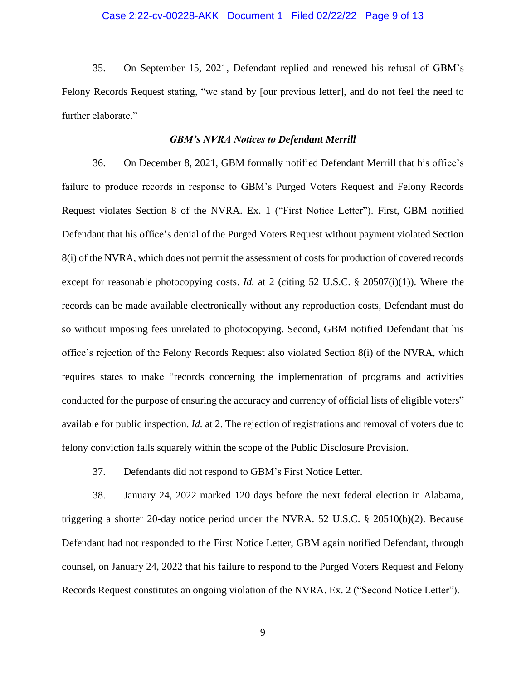### Case 2:22-cv-00228-AKK Document 1 Filed 02/22/22 Page 9 of 13

35. On September 15, 2021, Defendant replied and renewed his refusal of GBM's Felony Records Request stating, "we stand by [our previous letter], and do not feel the need to further elaborate."

#### *GBM's NVRA Notices to Defendant Merrill*

36. On December 8, 2021, GBM formally notified Defendant Merrill that his office's failure to produce records in response to GBM's Purged Voters Request and Felony Records Request violates Section 8 of the NVRA. Ex. 1 ("First Notice Letter"). First, GBM notified Defendant that his office's denial of the Purged Voters Request without payment violated Section 8(i) of the NVRA, which does not permit the assessment of costs for production of covered records except for reasonable photocopying costs. *Id.* at 2 (citing 52 U.S.C. § 20507(i)(1)). Where the records can be made available electronically without any reproduction costs, Defendant must do so without imposing fees unrelated to photocopying. Second, GBM notified Defendant that his office's rejection of the Felony Records Request also violated Section 8(i) of the NVRA, which requires states to make "records concerning the implementation of programs and activities conducted for the purpose of ensuring the accuracy and currency of official lists of eligible voters" available for public inspection. *Id.* at 2. The rejection of registrations and removal of voters due to felony conviction falls squarely within the scope of the Public Disclosure Provision.

37. Defendants did not respond to GBM's First Notice Letter.

38. January 24, 2022 marked 120 days before the next federal election in Alabama, triggering a shorter 20-day notice period under the NVRA. 52 U.S.C. § 20510(b)(2). Because Defendant had not responded to the First Notice Letter, GBM again notified Defendant, through counsel, on January 24, 2022 that his failure to respond to the Purged Voters Request and Felony Records Request constitutes an ongoing violation of the NVRA. Ex. 2 ("Second Notice Letter").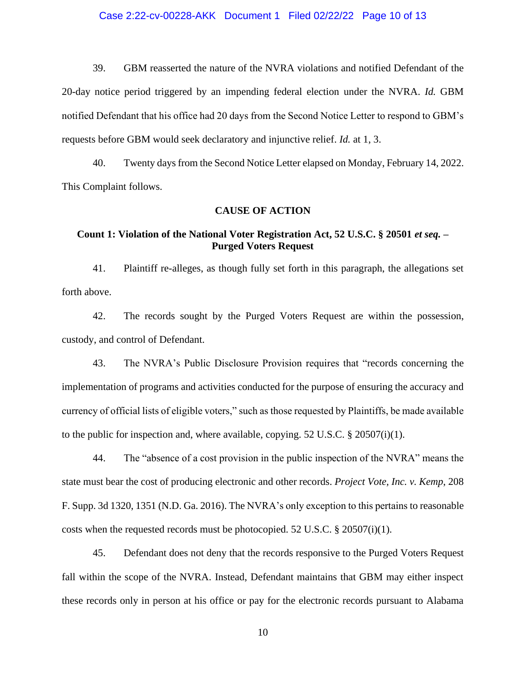39. GBM reasserted the nature of the NVRA violations and notified Defendant of the 20-day notice period triggered by an impending federal election under the NVRA. *Id.* GBM notified Defendant that his office had 20 days from the Second Notice Letter to respond to GBM's requests before GBM would seek declaratory and injunctive relief. *Id.* at 1, 3.

40. Twenty daysfrom the Second Notice Letter elapsed on Monday, February 14, 2022. This Complaint follows.

#### **CAUSE OF ACTION**

## **Count 1: Violation of the National Voter Registration Act, 52 U.S.C. § 20501** *et seq.* **– Purged Voters Request**

41. Plaintiff re-alleges, as though fully set forth in this paragraph, the allegations set forth above.

42. The records sought by the Purged Voters Request are within the possession, custody, and control of Defendant.

43. The NVRA's Public Disclosure Provision requires that "records concerning the implementation of programs and activities conducted for the purpose of ensuring the accuracy and currency of official lists of eligible voters," such as those requested by Plaintiffs, be made available to the public for inspection and, where available, copying. 52 U.S.C. § 20507(i)(1).

44. The "absence of a cost provision in the public inspection of the NVRA" means the state must bear the cost of producing electronic and other records. *Project Vote, Inc. v. Kemp*, 208 F. Supp. 3d 1320, 1351 (N.D. Ga. 2016). The NVRA's only exception to this pertains to reasonable costs when the requested records must be photocopied. 52 U.S.C. § 20507(i)(1).

45. Defendant does not deny that the records responsive to the Purged Voters Request fall within the scope of the NVRA. Instead, Defendant maintains that GBM may either inspect these records only in person at his office or pay for the electronic records pursuant to Alabama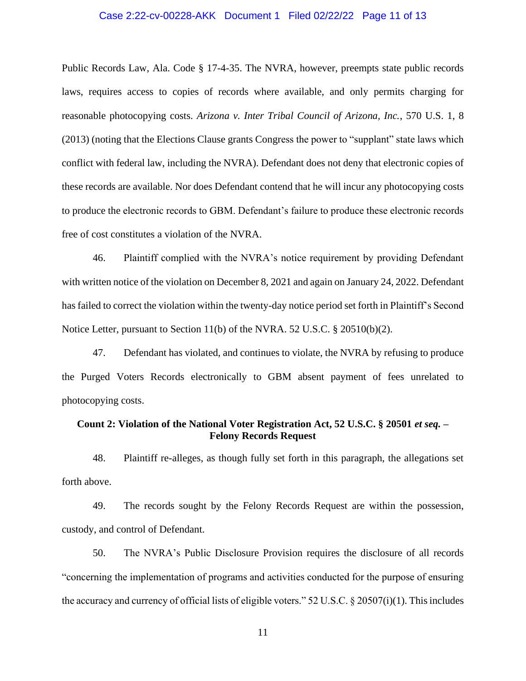#### Case 2:22-cv-00228-AKK Document 1 Filed 02/22/22 Page 11 of 13

Public Records Law, Ala. Code § 17-4-35. The NVRA, however, preempts state public records laws, requires access to copies of records where available, and only permits charging for reasonable photocopying costs. *Arizona v. Inter Tribal Council of Arizona, Inc.*, 570 U.S. 1, 8 (2013) (noting that the Elections Clause grants Congress the power to "supplant" state laws which conflict with federal law, including the NVRA). Defendant does not deny that electronic copies of these records are available. Nor does Defendant contend that he will incur any photocopying costs to produce the electronic records to GBM. Defendant's failure to produce these electronic records free of cost constitutes a violation of the NVRA.

46. Plaintiff complied with the NVRA's notice requirement by providing Defendant with written notice of the violation on December 8, 2021 and again on January 24, 2022. Defendant has failed to correct the violation within the twenty-day notice period set forth in Plaintiff's Second Notice Letter, pursuant to Section 11(b) of the NVRA. 52 U.S.C.  $\S$  20510(b)(2).

47. Defendant has violated, and continues to violate, the NVRA by refusing to produce the Purged Voters Records electronically to GBM absent payment of fees unrelated to photocopying costs.

## **Count 2: Violation of the National Voter Registration Act, 52 U.S.C. § 20501** *et seq.* **– Felony Records Request**

48. Plaintiff re-alleges, as though fully set forth in this paragraph, the allegations set forth above.

49. The records sought by the Felony Records Request are within the possession, custody, and control of Defendant.

50. The NVRA's Public Disclosure Provision requires the disclosure of all records "concerning the implementation of programs and activities conducted for the purpose of ensuring the accuracy and currency of official lists of eligible voters." 52 U.S.C. § 20507(i)(1). This includes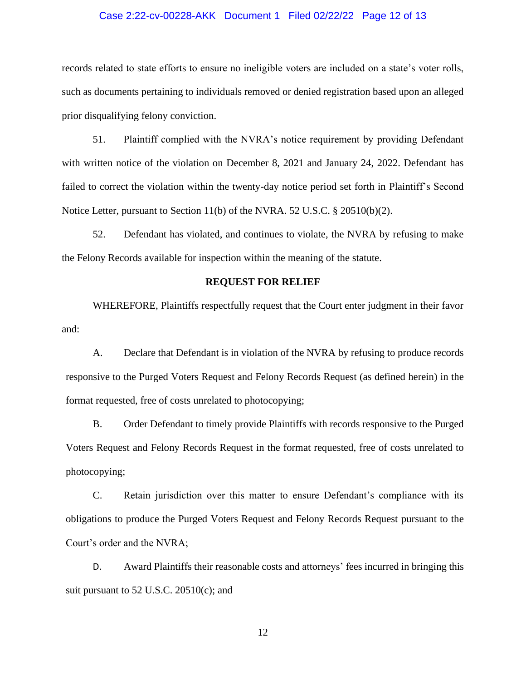#### Case 2:22-cv-00228-AKK Document 1 Filed 02/22/22 Page 12 of 13

records related to state efforts to ensure no ineligible voters are included on a state's voter rolls, such as documents pertaining to individuals removed or denied registration based upon an alleged prior disqualifying felony conviction.

51. Plaintiff complied with the NVRA's notice requirement by providing Defendant with written notice of the violation on December 8, 2021 and January 24, 2022. Defendant has failed to correct the violation within the twenty-day notice period set forth in Plaintiff's Second Notice Letter, pursuant to Section 11(b) of the NVRA. 52 U.S.C. § 20510(b)(2).

52. Defendant has violated, and continues to violate, the NVRA by refusing to make the Felony Records available for inspection within the meaning of the statute.

#### **REQUEST FOR RELIEF**

WHEREFORE, Plaintiffs respectfully request that the Court enter judgment in their favor and:

A. Declare that Defendant is in violation of the NVRA by refusing to produce records responsive to the Purged Voters Request and Felony Records Request (as defined herein) in the format requested, free of costs unrelated to photocopying;

B. Order Defendant to timely provide Plaintiffs with records responsive to the Purged Voters Request and Felony Records Request in the format requested, free of costs unrelated to photocopying;

C. Retain jurisdiction over this matter to ensure Defendant's compliance with its obligations to produce the Purged Voters Request and Felony Records Request pursuant to the Court's order and the NVRA;

D. Award Plaintiffs their reasonable costs and attorneys' fees incurred in bringing this suit pursuant to 52 U.S.C. 20510(c); and